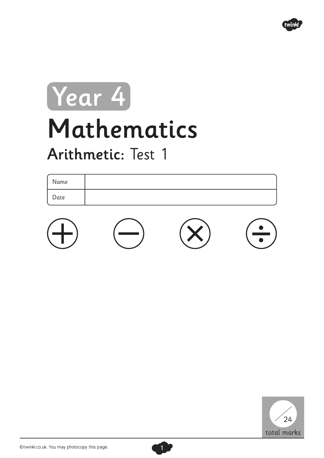

## Mathematics Arithmetic: Test 1 Year 4

| Name |  |
|------|--|
| Date |  |





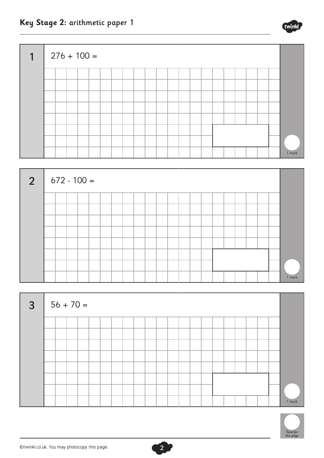







**Key Stage 2:** arithmetic paper 1



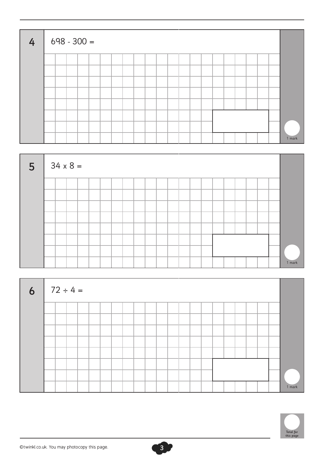| 4 <sup>1</sup> |  | $698 - 300 =$ |  |  |  |  |  |  |  |  |        |
|----------------|--|---------------|--|--|--|--|--|--|--|--|--------|
|                |  |               |  |  |  |  |  |  |  |  |        |
|                |  |               |  |  |  |  |  |  |  |  |        |
|                |  |               |  |  |  |  |  |  |  |  |        |
|                |  |               |  |  |  |  |  |  |  |  |        |
|                |  |               |  |  |  |  |  |  |  |  |        |
|                |  |               |  |  |  |  |  |  |  |  |        |
|                |  |               |  |  |  |  |  |  |  |  |        |
|                |  |               |  |  |  |  |  |  |  |  | 1 mark |



| 6   $72 \div 4 =$ |  |  |  |  |  |  |  |  |  |  |        |
|-------------------|--|--|--|--|--|--|--|--|--|--|--------|
|                   |  |  |  |  |  |  |  |  |  |  |        |
|                   |  |  |  |  |  |  |  |  |  |  |        |
|                   |  |  |  |  |  |  |  |  |  |  |        |
|                   |  |  |  |  |  |  |  |  |  |  |        |
|                   |  |  |  |  |  |  |  |  |  |  |        |
|                   |  |  |  |  |  |  |  |  |  |  |        |
|                   |  |  |  |  |  |  |  |  |  |  |        |
|                   |  |  |  |  |  |  |  |  |  |  | 1 mark |

3

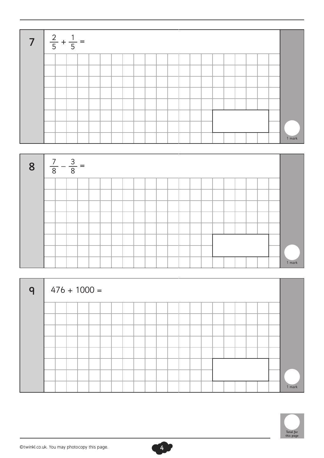



| $\mathsf{q}$ |  |  | $476 + 1000 =$ |  |  |  |  |  |  |  |  |        |
|--------------|--|--|----------------|--|--|--|--|--|--|--|--|--------|
|              |  |  |                |  |  |  |  |  |  |  |  |        |
|              |  |  |                |  |  |  |  |  |  |  |  |        |
|              |  |  |                |  |  |  |  |  |  |  |  |        |
|              |  |  |                |  |  |  |  |  |  |  |  |        |
|              |  |  |                |  |  |  |  |  |  |  |  |        |
|              |  |  |                |  |  |  |  |  |  |  |  |        |
|              |  |  |                |  |  |  |  |  |  |  |  |        |
|              |  |  |                |  |  |  |  |  |  |  |  | 1 mark |

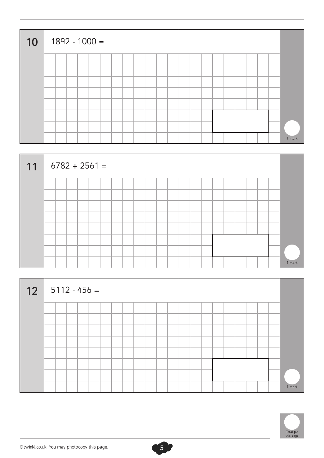| 10 |  |  | $1892 - 1000 =$ |  |  |  |  |  |  |  |  |        |
|----|--|--|-----------------|--|--|--|--|--|--|--|--|--------|
|    |  |  |                 |  |  |  |  |  |  |  |  |        |
|    |  |  |                 |  |  |  |  |  |  |  |  |        |
|    |  |  |                 |  |  |  |  |  |  |  |  |        |
|    |  |  |                 |  |  |  |  |  |  |  |  |        |
|    |  |  |                 |  |  |  |  |  |  |  |  |        |
|    |  |  |                 |  |  |  |  |  |  |  |  |        |
|    |  |  |                 |  |  |  |  |  |  |  |  |        |
|    |  |  |                 |  |  |  |  |  |  |  |  | 1 mark |



| 12 |  |  | $5112 - 456 =$ |  |  |  |  |  |  |  |  |        |
|----|--|--|----------------|--|--|--|--|--|--|--|--|--------|
|    |  |  |                |  |  |  |  |  |  |  |  |        |
|    |  |  |                |  |  |  |  |  |  |  |  |        |
|    |  |  |                |  |  |  |  |  |  |  |  |        |
|    |  |  |                |  |  |  |  |  |  |  |  |        |
|    |  |  |                |  |  |  |  |  |  |  |  |        |
|    |  |  |                |  |  |  |  |  |  |  |  |        |
|    |  |  |                |  |  |  |  |  |  |  |  |        |
|    |  |  |                |  |  |  |  |  |  |  |  | 1 mark |

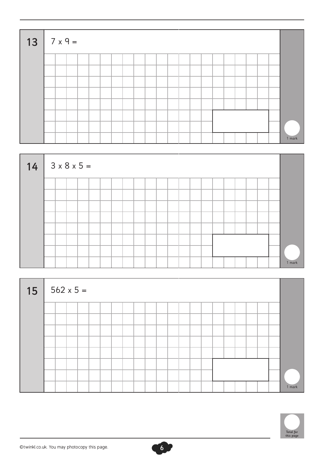| $13 \mid 7 \times 9 =$ |  |  |  |  |  |  |  |  |  |  |        |
|------------------------|--|--|--|--|--|--|--|--|--|--|--------|
|                        |  |  |  |  |  |  |  |  |  |  |        |
|                        |  |  |  |  |  |  |  |  |  |  |        |
|                        |  |  |  |  |  |  |  |  |  |  |        |
|                        |  |  |  |  |  |  |  |  |  |  |        |
|                        |  |  |  |  |  |  |  |  |  |  |        |
|                        |  |  |  |  |  |  |  |  |  |  |        |
|                        |  |  |  |  |  |  |  |  |  |  |        |
|                        |  |  |  |  |  |  |  |  |  |  | 1 mark |



| $15 \mid 562 \times 5 =$ |  |  |  |  |  |  |  |  |  |  |        |
|--------------------------|--|--|--|--|--|--|--|--|--|--|--------|
|                          |  |  |  |  |  |  |  |  |  |  |        |
|                          |  |  |  |  |  |  |  |  |  |  |        |
|                          |  |  |  |  |  |  |  |  |  |  |        |
|                          |  |  |  |  |  |  |  |  |  |  |        |
|                          |  |  |  |  |  |  |  |  |  |  |        |
|                          |  |  |  |  |  |  |  |  |  |  |        |
|                          |  |  |  |  |  |  |  |  |  |  |        |
|                          |  |  |  |  |  |  |  |  |  |  | 1 mark |

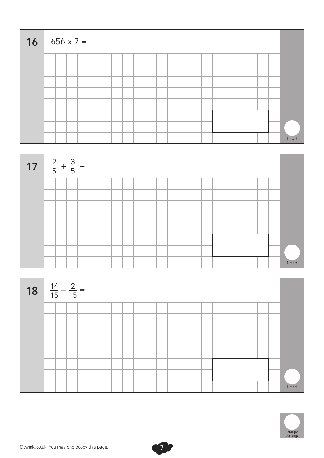| $16   656 \times 7 =$ |  |  |  |  |  |  |  |  |  |  |        |
|-----------------------|--|--|--|--|--|--|--|--|--|--|--------|
|                       |  |  |  |  |  |  |  |  |  |  |        |
|                       |  |  |  |  |  |  |  |  |  |  |        |
|                       |  |  |  |  |  |  |  |  |  |  |        |
|                       |  |  |  |  |  |  |  |  |  |  |        |
|                       |  |  |  |  |  |  |  |  |  |  |        |
|                       |  |  |  |  |  |  |  |  |  |  |        |
|                       |  |  |  |  |  |  |  |  |  |  |        |
|                       |  |  |  |  |  |  |  |  |  |  | 1 mark |







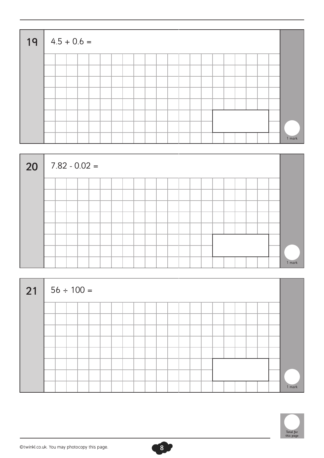| $19   4.5 + 0.6 =$ |  |  |  |  |  |  |  |  |  |  |        |
|--------------------|--|--|--|--|--|--|--|--|--|--|--------|
|                    |  |  |  |  |  |  |  |  |  |  |        |
|                    |  |  |  |  |  |  |  |  |  |  |        |
|                    |  |  |  |  |  |  |  |  |  |  |        |
|                    |  |  |  |  |  |  |  |  |  |  |        |
|                    |  |  |  |  |  |  |  |  |  |  |        |
|                    |  |  |  |  |  |  |  |  |  |  |        |
|                    |  |  |  |  |  |  |  |  |  |  |        |
|                    |  |  |  |  |  |  |  |  |  |  | 1 mark |



| $21   56 \div 100 =$ |  |  |  |  |  |  |  |  |  |  |        |
|----------------------|--|--|--|--|--|--|--|--|--|--|--------|
|                      |  |  |  |  |  |  |  |  |  |  |        |
|                      |  |  |  |  |  |  |  |  |  |  |        |
|                      |  |  |  |  |  |  |  |  |  |  |        |
|                      |  |  |  |  |  |  |  |  |  |  |        |
|                      |  |  |  |  |  |  |  |  |  |  |        |
|                      |  |  |  |  |  |  |  |  |  |  |        |
|                      |  |  |  |  |  |  |  |  |  |  |        |
|                      |  |  |  |  |  |  |  |  |  |  | 1 mark |

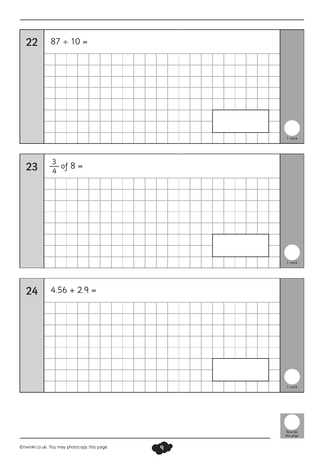| 22 87 ÷ 10 = |  |  |  |  |  |  |  |  |  |  |        |
|--------------|--|--|--|--|--|--|--|--|--|--|--------|
|              |  |  |  |  |  |  |  |  |  |  |        |
|              |  |  |  |  |  |  |  |  |  |  |        |
|              |  |  |  |  |  |  |  |  |  |  |        |
|              |  |  |  |  |  |  |  |  |  |  |        |
|              |  |  |  |  |  |  |  |  |  |  |        |
|              |  |  |  |  |  |  |  |  |  |  |        |
|              |  |  |  |  |  |  |  |  |  |  |        |
|              |  |  |  |  |  |  |  |  |  |  | 1 mark |



| 24 | $\vert$ 4.56 + 2.9 = |  |  |  |  |  |  |  |  |  |  |  |  |  |  |        |
|----|----------------------|--|--|--|--|--|--|--|--|--|--|--|--|--|--|--------|
|    |                      |  |  |  |  |  |  |  |  |  |  |  |  |  |  |        |
|    |                      |  |  |  |  |  |  |  |  |  |  |  |  |  |  |        |
|    |                      |  |  |  |  |  |  |  |  |  |  |  |  |  |  |        |
|    |                      |  |  |  |  |  |  |  |  |  |  |  |  |  |  |        |
|    |                      |  |  |  |  |  |  |  |  |  |  |  |  |  |  |        |
|    |                      |  |  |  |  |  |  |  |  |  |  |  |  |  |  |        |
|    |                      |  |  |  |  |  |  |  |  |  |  |  |  |  |  |        |
|    |                      |  |  |  |  |  |  |  |  |  |  |  |  |  |  | 1 mark |